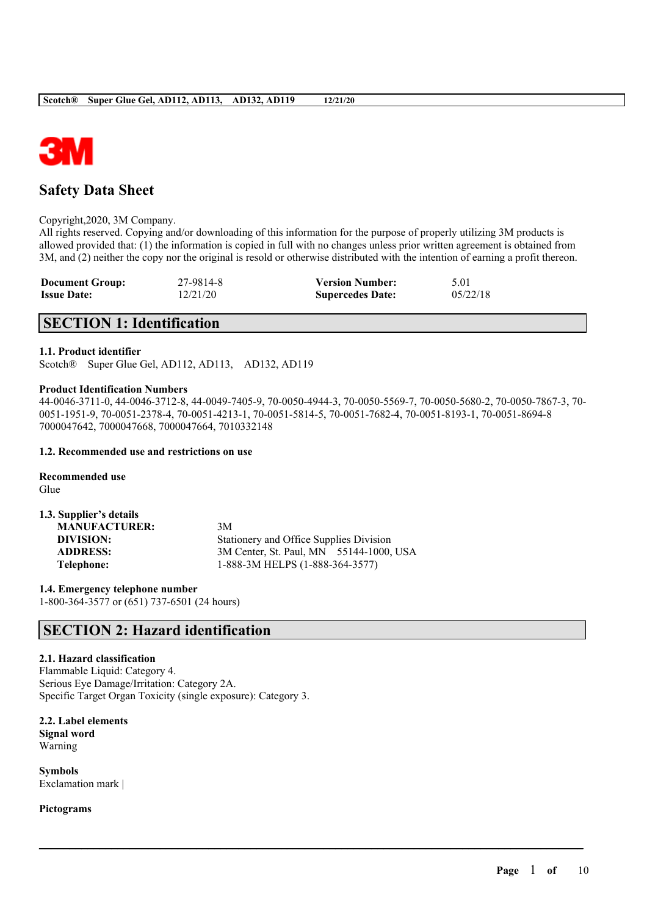

# **Safety Data Sheet**

#### Copyright,2020, 3M Company.

All rights reserved. Copying and/or downloading of this information for the purpose of properly utilizing 3M products is allowed provided that: (1) the information is copied in full with no changes unless prior written agreement is obtained from 3M, and (2) neither the copy nor the original is resold or otherwise distributed with the intention of earning a profit thereon.

| <b>Document Group:</b> | 27-9814-8 | <b>Version Number:</b>  | 5.01     |
|------------------------|-----------|-------------------------|----------|
| <b>Issue Date:</b>     | 12/21/20  | <b>Supercedes Date:</b> | 05/22/18 |

# **SECTION 1: Identification**

### **1.1. Product identifier**

Scotch® Super Glue Gel, AD112, AD113, AD132, AD119

#### **Product Identification Numbers**

44-0046-3711-0, 44-0046-3712-8, 44-0049-7405-9, 70-0050-4944-3, 70-0050-5569-7, 70-0050-5680-2, 70-0050-7867-3, 70- 0051-1951-9, 70-0051-2378-4, 70-0051-4213-1, 70-0051-5814-5, 70-0051-7682-4, 70-0051-8193-1, 70-0051-8694-8 7000047642, 7000047668, 7000047664, 7010332148

 $\mathcal{L}_\mathcal{L} = \mathcal{L}_\mathcal{L} = \mathcal{L}_\mathcal{L} = \mathcal{L}_\mathcal{L} = \mathcal{L}_\mathcal{L} = \mathcal{L}_\mathcal{L} = \mathcal{L}_\mathcal{L} = \mathcal{L}_\mathcal{L} = \mathcal{L}_\mathcal{L} = \mathcal{L}_\mathcal{L} = \mathcal{L}_\mathcal{L} = \mathcal{L}_\mathcal{L} = \mathcal{L}_\mathcal{L} = \mathcal{L}_\mathcal{L} = \mathcal{L}_\mathcal{L} = \mathcal{L}_\mathcal{L} = \mathcal{L}_\mathcal{L}$ 

#### **1.2. Recommended use and restrictions on use**

**Recommended use** Glue

| 1.3. Supplier's details |                                         |
|-------------------------|-----------------------------------------|
| <b>MANUFACTURER:</b>    | 3M                                      |
| DIVISION:               | Stationery and Office Supplies Division |
| <b>ADDRESS:</b>         | 3M Center, St. Paul, MN 55144-1000, USA |
| Telephone:              | 1-888-3M HELPS (1-888-364-3577)         |

**1.4. Emergency telephone number** 1-800-364-3577 or (651) 737-6501 (24 hours)

## **SECTION 2: Hazard identification**

### **2.1. Hazard classification**

Flammable Liquid: Category 4. Serious Eye Damage/Irritation: Category 2A. Specific Target Organ Toxicity (single exposure): Category 3.

**2.2. Label elements Signal word** Warning

**Symbols** Exclamation mark |

**Pictograms**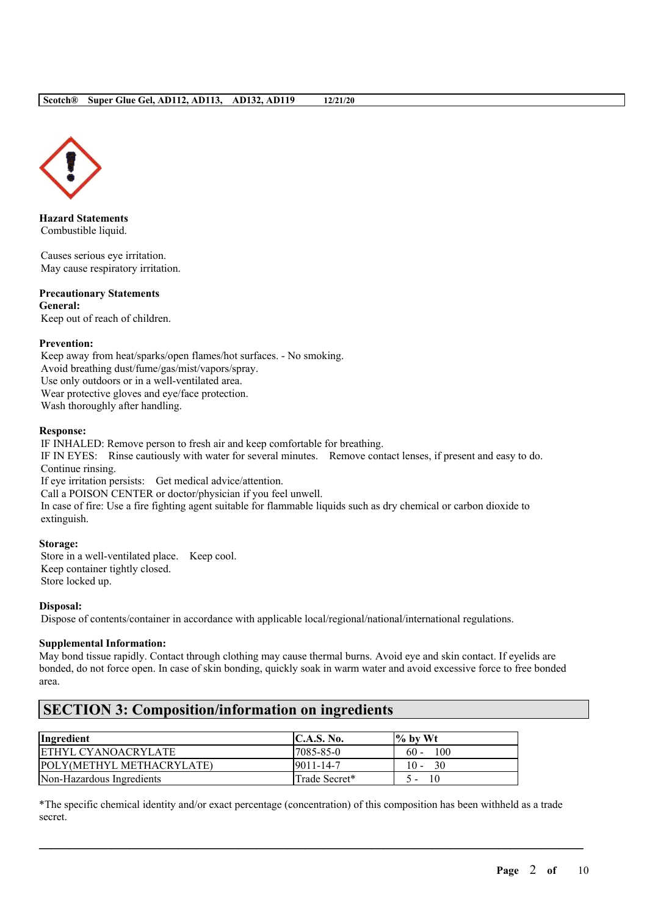

**Hazard Statements** Combustible liquid.

Causes serious eye irritation. May cause respiratory irritation.

#### **Precautionary Statements General:**

Keep out of reach of children.

## **Prevention:**

Keep away from heat/sparks/open flames/hot surfaces. - No smoking. Avoid breathing dust/fume/gas/mist/vapors/spray. Use only outdoors or in a well-ventilated area. Wear protective gloves and eye/face protection. Wash thoroughly after handling.

## **Response:**

IF INHALED: Remove person to fresh air and keep comfortable for breathing. IF IN EYES: Rinse cautiously with water for several minutes. Remove contact lenses, if present and easy to do. Continue rinsing. If eye irritation persists: Get medical advice/attention. Call a POISON CENTER or doctor/physician if you feel unwell. In case of fire: Use a fire fighting agent suitable for flammable liquids such as dry chemical or carbon dioxide to extinguish.

## **Storage:**

Store in a well-ventilated place. Keep cool. Keep container tightly closed. Store locked up.

**Disposal:**

Dispose of contents/container in accordance with applicable local/regional/national/international regulations.

## **Supplemental Information:**

May bond tissue rapidly. Contact through clothing may cause thermal burns. Avoid eye and skin contact. If eyelids are bonded, do not force open. In case of skin bonding, quickly soak in warm water and avoid excessive force to free bonded area.

# **SECTION 3: Composition/information on ingredients**

| Ingredient                       | <b>C.A.S. No.</b> | $\frac{6}{10}$ by Wt |
|----------------------------------|-------------------|----------------------|
| ETHYL CYANOACRYLATE              | 7085-85-0         | 100<br>$60 -$        |
| <b>POLY(METHYL METHACRYLATE)</b> | $9011 - 14 - 7$   | $10 - 30$            |
| Non-Hazardous Ingredients        | Trade Secret*     | 10                   |

\*The specific chemical identity and/or exact percentage (concentration) of this composition has been withheld as a trade secret.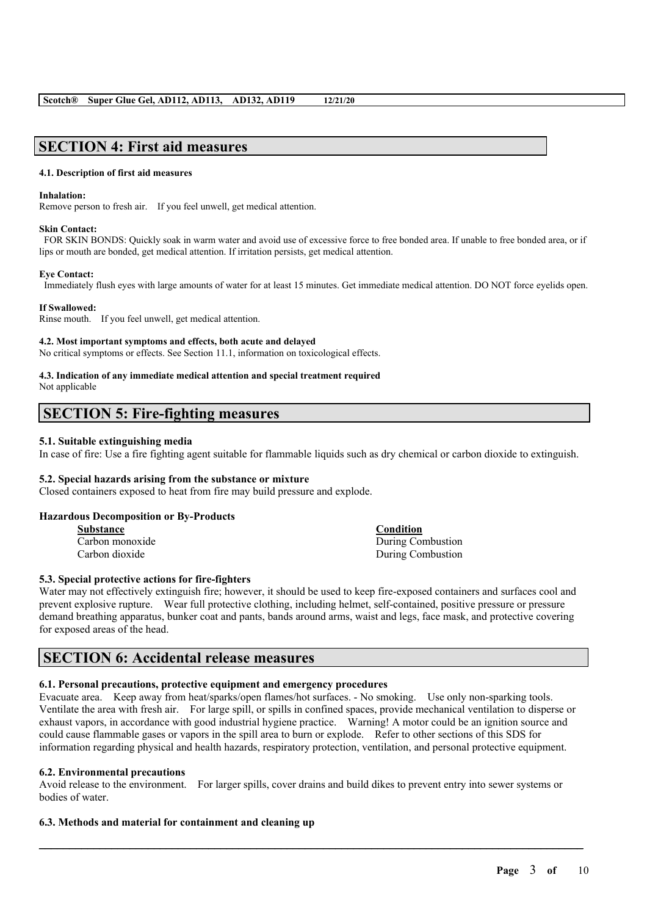## **SECTION 4: First aid measures**

#### **4.1. Description of first aid measures**

#### **Inhalation:**

Remove person to fresh air. If you feel unwell, get medical attention.

#### **Skin Contact:**

FOR SKIN BONDS: Quickly soak in warm water and avoid use of excessive force to free bonded area. If unable to free bonded area, or if lips or mouth are bonded, get medical attention. If irritation persists, get medical attention.

#### **Eye Contact:**

Immediately flush eyes with large amounts of water for at least 15 minutes. Get immediate medical attention. DO NOT force eyelids open.

#### **If Swallowed:**

Rinse mouth. If you feel unwell, get medical attention.

#### **4.2. Most important symptoms and effects, both acute and delayed**

No critical symptoms or effects. See Section 11.1, information on toxicological effects.

# **4.3. Indication of any immediate medical attention and special treatment required**

Not applicable

# **SECTION 5: Fire-fighting measures**

#### **5.1. Suitable extinguishing media**

In case of fire: Use a fire fighting agent suitable for flammable liquids such as dry chemical or carbon dioxide to extinguish.

#### **5.2. Special hazards arising from the substance or mixture**

Closed containers exposed to heat from fire may build pressure and explode.

#### **Hazardous Decomposition or By-Products**

| Substance       | Condition         |
|-----------------|-------------------|
| Carbon monoxide | During Combustion |
| Carbon dioxide  | During Combustion |

#### **5.3. Special protective actions for fire-fighters**

Water may not effectively extinguish fire; however, it should be used to keep fire-exposed containers and surfaces cool and prevent explosive rupture. Wear full protective clothing, including helmet, self-contained, positive pressure or pressure demand breathing apparatus, bunker coat and pants, bands around arms, waist and legs, face mask, and protective covering for exposed areas of the head.

## **SECTION 6: Accidental release measures**

#### **6.1. Personal precautions, protective equipment and emergency procedures**

Evacuate area. Keep away from heat/sparks/open flames/hot surfaces. - No smoking. Use only non-sparking tools. Ventilate the area with fresh air. For large spill, or spills in confined spaces, provide mechanical ventilation to disperse or exhaust vapors, in accordance with good industrial hygiene practice. Warning! A motor could be an ignition source and could cause flammable gases or vapors in the spill area to burn or explode. Refer to other sections of this SDS for information regarding physical and health hazards, respiratory protection, ventilation, and personal protective equipment.

#### **6.2. Environmental precautions**

Avoid release to the environment. For larger spills, cover drains and build dikes to prevent entry into sewer systems or bodies of water.

 $\mathcal{L}_\mathcal{L} = \mathcal{L}_\mathcal{L} = \mathcal{L}_\mathcal{L} = \mathcal{L}_\mathcal{L} = \mathcal{L}_\mathcal{L} = \mathcal{L}_\mathcal{L} = \mathcal{L}_\mathcal{L} = \mathcal{L}_\mathcal{L} = \mathcal{L}_\mathcal{L} = \mathcal{L}_\mathcal{L} = \mathcal{L}_\mathcal{L} = \mathcal{L}_\mathcal{L} = \mathcal{L}_\mathcal{L} = \mathcal{L}_\mathcal{L} = \mathcal{L}_\mathcal{L} = \mathcal{L}_\mathcal{L} = \mathcal{L}_\mathcal{L}$ 

#### **6.3. Methods and material for containment and cleaning up**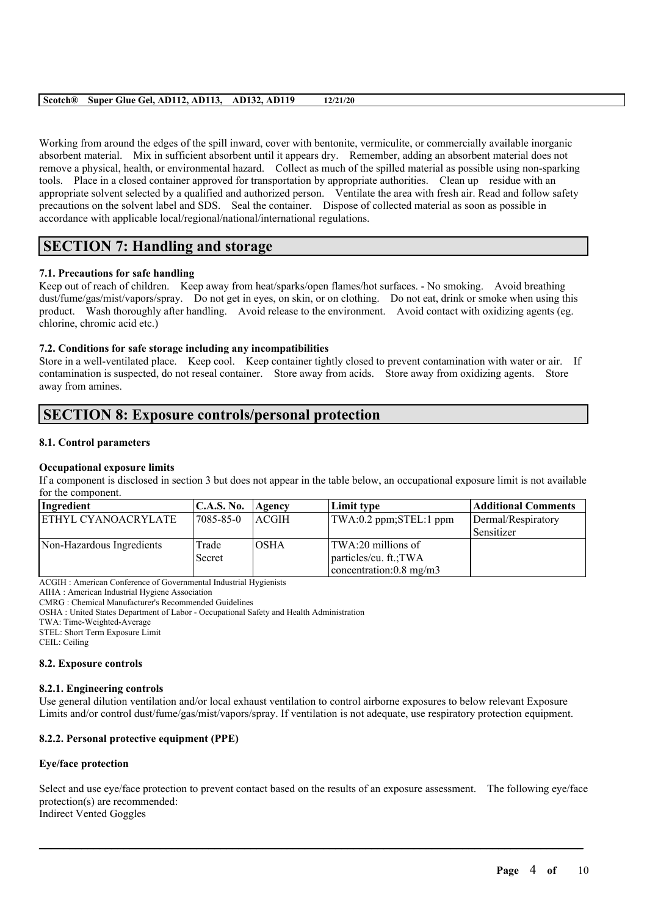Working from around the edges of the spill inward, cover with bentonite, vermiculite, or commercially available inorganic absorbent material. Mix in sufficient absorbent until it appears dry. Remember, adding an absorbent material does not remove a physical, health, or environmental hazard. Collect as much of the spilled material as possible using non-sparking tools. Place in a closed container approved for transportation by appropriate authorities. Clean up residue with an appropriate solvent selected by a qualified and authorized person. Ventilate the area with fresh air. Read and follow safety precautions on the solvent label and SDS. Seal the container. Dispose of collected material as soon as possible in accordance with applicable local/regional/national/international regulations.

# **SECTION 7: Handling and storage**

## **7.1. Precautions for safe handling**

Keep out of reach of children. Keep away from heat/sparks/open flames/hot surfaces. - No smoking. Avoid breathing dust/fume/gas/mist/vapors/spray. Do not get in eyes, on skin, or on clothing. Do not eat, drink or smoke when using this product. Wash thoroughly after handling. Avoid release to the environment. Avoid contact with oxidizing agents (eg. chlorine, chromic acid etc.)

## **7.2. Conditions for safe storage including any incompatibilities**

Store in a well-ventilated place. Keep cool. Keep container tightly closed to prevent contamination with water or air. If contamination is suspected, do not reseal container. Store away from acids. Store away from oxidizing agents. Store away from amines.

# **SECTION 8: Exposure controls/personal protection**

## **8.1. Control parameters**

## **Occupational exposure limits**

If a component is disclosed in section 3 but does not appear in the table below, an occupational exposure limit is not available for the component.

| Ingredient                 | <b>C.A.S. No.</b> | Agency      | Limit type                        | <b>Additional Comments</b> |
|----------------------------|-------------------|-------------|-----------------------------------|----------------------------|
| <b>ETHYL CYANOACRYLATE</b> | 7085-85-0         | ACGIH       | TWA:0.2 ppm;STEL:1 ppm            | Dermal/Respiratory         |
|                            |                   |             |                                   | Sensitizer                 |
| Non-Hazardous Ingredients  | Trade             | <b>OSHA</b> | TWA:20 millions of                |                            |
|                            | Secret            |             | particles/cu. ft.; TWA            |                            |
|                            |                   |             | concentration: $0.8 \text{ mg/m}$ |                            |

ACGIH : American Conference of Governmental Industrial Hygienists

AIHA : American Industrial Hygiene Association

CMRG : Chemical Manufacturer's Recommended Guidelines

OSHA : United States Department of Labor - Occupational Safety and Health Administration

TWA: Time-Weighted-Average

STEL: Short Term Exposure Limit

CEIL: Ceiling

## **8.2. Exposure controls**

## **8.2.1. Engineering controls**

Use general dilution ventilation and/or local exhaust ventilation to control airborne exposures to below relevant Exposure Limits and/or control dust/fume/gas/mist/vapors/spray. If ventilation is not adequate, use respiratory protection equipment.

## **8.2.2. Personal protective equipment (PPE)**

## **Eye/face protection**

Select and use eye/face protection to prevent contact based on the results of an exposure assessment. The following eye/face protection(s) are recommended: Indirect Vented Goggles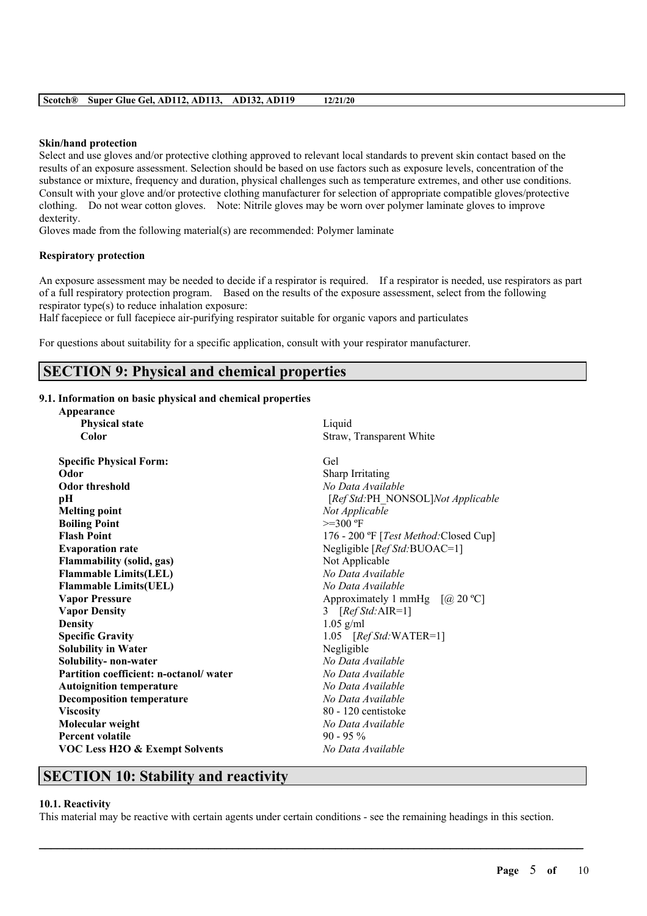#### **Skin/hand protection**

Select and use gloves and/or protective clothing approved to relevant local standards to prevent skin contact based on the results of an exposure assessment. Selection should be based on use factors such as exposure levels, concentration of the substance or mixture, frequency and duration, physical challenges such as temperature extremes, and other use conditions. Consult with your glove and/or protective clothing manufacturer for selection of appropriate compatible gloves/protective clothing. Do not wear cotton gloves. Note: Nitrile gloves may be worn over polymer laminate gloves to improve dexterity.

Gloves made from the following material(s) are recommended: Polymer laminate

## **Respiratory protection**

An exposure assessment may be needed to decide if a respirator is required. If a respirator is needed, use respirators as part of a full respiratory protection program. Based on the results of the exposure assessment, select from the following respirator type(s) to reduce inhalation exposure:

Half facepiece or full facepiece air-purifying respirator suitable for organic vapors and particulates

For questions about suitability for a specific application, consult with your respirator manufacturer.

# **SECTION 9: Physical and chemical properties**

### **9.1. Information on basic physical and chemical properties**

| Appearance                                |                                                        |  |  |
|-------------------------------------------|--------------------------------------------------------|--|--|
| <b>Physical state</b>                     | Liquid                                                 |  |  |
| Color                                     | Straw, Transparent White                               |  |  |
| <b>Specific Physical Form:</b>            | Gel                                                    |  |  |
| Odor                                      | Sharp Irritating                                       |  |  |
| <b>Odor threshold</b>                     | No Data Available                                      |  |  |
| pН                                        | [Ref Std:PH_NONSOL]Not Applicable                      |  |  |
| <b>Melting point</b>                      | Not Applicable                                         |  |  |
| <b>Boiling Point</b>                      | $>=300 °F$                                             |  |  |
| <b>Flash Point</b>                        | 176 - 200 °F [ <i>Test Method</i> : Closed Cup]        |  |  |
| <b>Evaporation rate</b>                   | Negligible [Ref Std:BUOAC=1]                           |  |  |
| <b>Flammability (solid, gas)</b>          | Not Applicable                                         |  |  |
| <b>Flammable Limits(LEL)</b>              | No Data Available                                      |  |  |
| <b>Flammable Limits(UEL)</b>              | No Data Available                                      |  |  |
| <b>Vapor Pressure</b>                     | Approximately 1 mmHg $\lceil (a) 20 \text{ °C} \rceil$ |  |  |
| <b>Vapor Density</b>                      | 3 $[RefStd:AIR=1]$                                     |  |  |
| <b>Density</b>                            | $1.05$ g/ml                                            |  |  |
| <b>Specific Gravity</b>                   | 1.05 $[RefStd:WATER=1]$                                |  |  |
| <b>Solubility in Water</b>                | Negligible                                             |  |  |
| Solubility- non-water                     | No Data Available                                      |  |  |
| Partition coefficient: n-octanol/water    | No Data Available                                      |  |  |
| <b>Autoignition temperature</b>           | No Data Available                                      |  |  |
| <b>Decomposition temperature</b>          | No Data Available                                      |  |  |
| <b>Viscosity</b>                          | 80 - 120 centistoke                                    |  |  |
| Molecular weight                          | No Data Available                                      |  |  |
| <b>Percent volatile</b>                   | $90 - 95\%$                                            |  |  |
| <b>VOC Less H2O &amp; Exempt Solvents</b> | No Data Available                                      |  |  |

## **SECTION 10: Stability and reactivity**

#### **10.1. Reactivity**

This material may be reactive with certain agents under certain conditions - see the remaining headings in this section.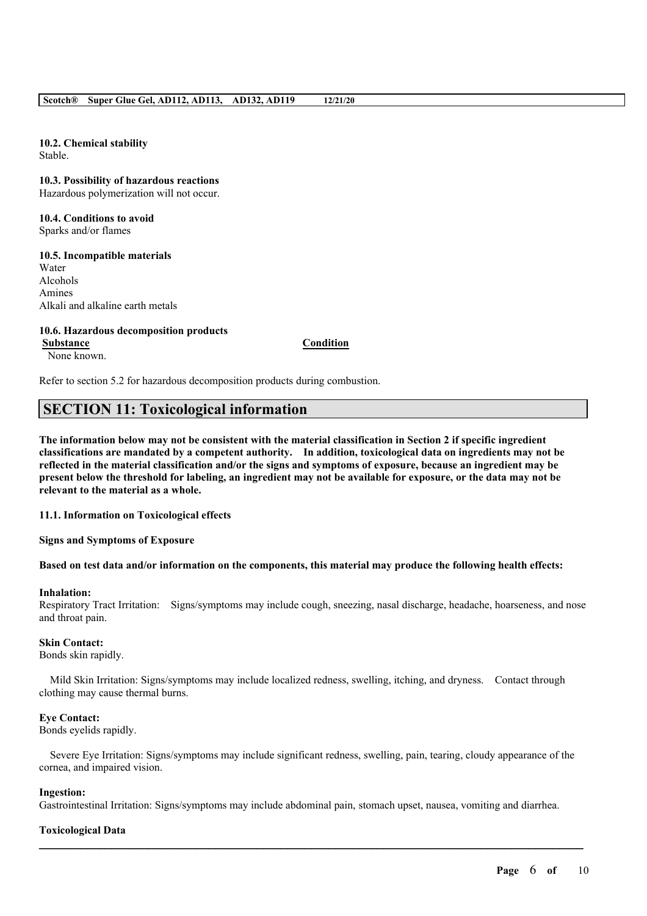**10.2. Chemical stability** Stable.

**10.3. Possibility of hazardous reactions** Hazardous polymerization will not occur.

**10.4. Conditions to avoid** Sparks and/or flames

**10.5. Incompatible materials** Water

Alcohols Amines Alkali and alkaline earth metals

## **10.6. Hazardous decomposition products**

**Substance Condition** None known.

Refer to section 5.2 for hazardous decomposition products during combustion.

# **SECTION 11: Toxicological information**

The information below may not be consistent with the material classification in Section 2 if specific ingredient **classifications are mandated by a competent authority. In addition, toxicological data on ingredients may not be** reflected in the material classification and/or the signs and symptoms of exposure, because an ingredient may be present below the threshold for labeling, an ingredient may not be available for exposure, or the data may not be **relevant to the material as a whole.**

**11.1. Information on Toxicological effects**

**Signs and Symptoms of Exposure**

## Based on test data and/or information on the components, this material may produce the following health effects:

#### **Inhalation:**

Respiratory Tract Irritation: Signs/symptoms may include cough, sneezing, nasal discharge, headache, hoarseness, and nose and throat pain.

#### **Skin Contact:**

Bonds skin rapidly.

Mild Skin Irritation: Signs/symptoms may include localized redness, swelling, itching, and dryness. Contact through clothing may cause thermal burns.

#### **Eye Contact:**

Bonds eyelids rapidly.

Severe Eye Irritation: Signs/symptoms may include significant redness, swelling, pain, tearing, cloudy appearance of the cornea, and impaired vision.

#### **Ingestion:**

Gastrointestinal Irritation: Signs/symptoms may include abdominal pain, stomach upset, nausea, vomiting and diarrhea.

 $\mathcal{L}_\mathcal{L} = \mathcal{L}_\mathcal{L} = \mathcal{L}_\mathcal{L} = \mathcal{L}_\mathcal{L} = \mathcal{L}_\mathcal{L} = \mathcal{L}_\mathcal{L} = \mathcal{L}_\mathcal{L} = \mathcal{L}_\mathcal{L} = \mathcal{L}_\mathcal{L} = \mathcal{L}_\mathcal{L} = \mathcal{L}_\mathcal{L} = \mathcal{L}_\mathcal{L} = \mathcal{L}_\mathcal{L} = \mathcal{L}_\mathcal{L} = \mathcal{L}_\mathcal{L} = \mathcal{L}_\mathcal{L} = \mathcal{L}_\mathcal{L}$ 

## **Toxicological Data**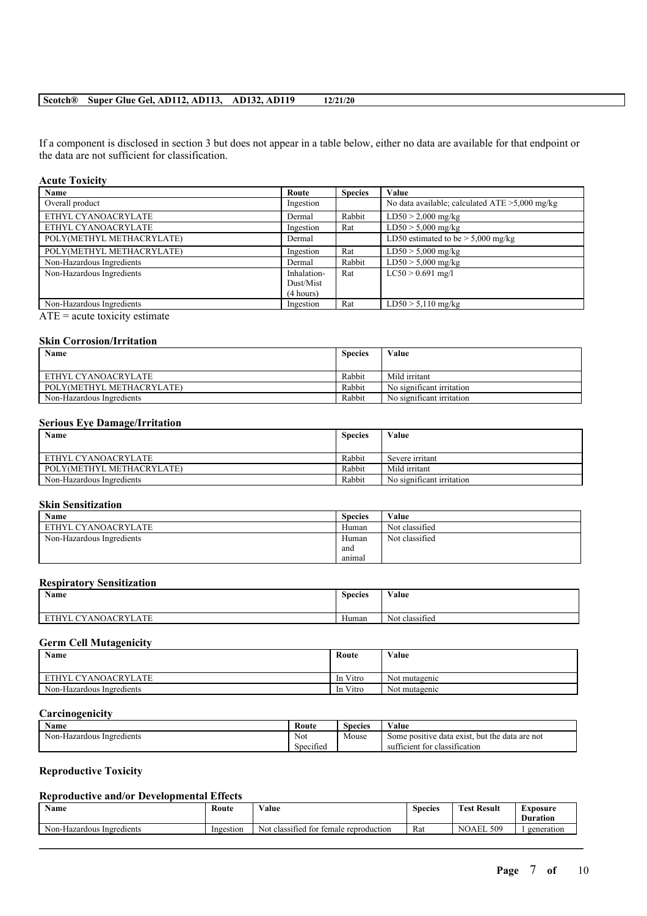If a component is disclosed in section 3 but does not appear in a table below, either no data are available for that endpoint or the data are not sufficient for classification.

### **Acute Toxicity**

| <b>Name</b>               | Route       | <b>Species</b> | Value                                             |
|---------------------------|-------------|----------------|---------------------------------------------------|
| Overall product           | Ingestion   |                | No data available; calculated $ATE > 5,000$ mg/kg |
| ETHYL CYANOACRYLATE       | Dermal      | Rabbit         | $LD50 > 2,000$ mg/kg                              |
| ETHYL CYANOACRYLATE       | Ingestion   | Rat            | $LD50 > 5,000$ mg/kg                              |
| POLY(METHYL METHACRYLATE) | Dermal      |                | LD50 estimated to be $> 5,000$ mg/kg              |
| POLY(METHYL METHACRYLATE) | Ingestion   | Rat            | $LD50 > 5,000$ mg/kg                              |
| Non-Hazardous Ingredients | Dermal      | Rabbit         | $LD50 > 5,000$ mg/kg                              |
| Non-Hazardous Ingredients | Inhalation- | Rat            | $LC50 > 0.691$ mg/l                               |
|                           | Dust/Mist   |                |                                                   |
|                           | (4 hours)   |                |                                                   |
| Non-Hazardous Ingredients | Ingestion   | Rat            | $LD50 > 5,110$ mg/kg                              |

 $\overline{ATE}$  = acute toxicity estimate

## **Skin Corrosion/Irritation**

| Name                      | <b>Species</b> | Value                     |
|---------------------------|----------------|---------------------------|
|                           |                |                           |
| ETHYL CYANOACRYLATE       | Rabbit         | Mild irritant             |
| POLY(METHYL METHACRYLATE) | Rabbit         | No significant irritation |
| Non-Hazardous Ingredients | Rabbit         | No significant irritation |

## **Serious Eye Damage/Irritation**

| Name                      | <b>Species</b> | Value                     |
|---------------------------|----------------|---------------------------|
|                           |                |                           |
| ETHYL CYANOACRYLATE       | Rabbit         | Severe irritant           |
| POLY(METHYL METHACRYLATE) | Rabbit         | Mild irritant             |
| Non-Hazardous Ingredients | Rabbit         | No significant irritation |

## **Skin Sensitization**

| Name                      | <b>Species</b> | Value          |
|---------------------------|----------------|----------------|
| ETHYL CYANOACRYLATE       | Human          | Not classified |
| Non-Hazardous Ingredients | Human          | Not classified |
|                           | and            |                |
|                           | animal         |                |

#### **Respiratory Sensitization**

| Name                                         | <b>Species</b> | Value                    |
|----------------------------------------------|----------------|--------------------------|
| <b>CYANOACRYL</b><br>ATE<br>ETHYL<br>. H . A | Human          | $\sim$<br>Not classified |

### **Germ Cell Mutagenicity**

| Name                      | Route    | Value                          |
|---------------------------|----------|--------------------------------|
|                           |          |                                |
| ETHYL CYANOACRYLATE       | In Vitro | $\sim$ $\sim$<br>Not mutagenic |
| Non-Hazardous Ingredients | In Vitro | Not mutagenic                  |

## **Carcinogenicity**

| Name                         | Route               | Species | Value                                             |
|------------------------------|---------------------|---------|---------------------------------------------------|
| Non-Hazardous<br>Ingredients | Not                 | Mouse   | but the data are not<br>Some positive data exist. |
|                              | $\sim$<br>Specified |         | sufficient for<br>classification                  |

## **Reproductive Toxicity**

## **Reproductive and/or Developmental Effects**

| <b>Name</b>                       | Route     | $ -$<br>Value                                        | $\sim$<br><b>Species</b> | <b>CONTRACTOR</b><br><b>Result</b><br>`est | LXposure<br><b>Duration</b> |
|-----------------------------------|-----------|------------------------------------------------------|--------------------------|--------------------------------------------|-----------------------------|
| $Non-1$<br>-Hazardous Ingredients | Ingestion | Not<br>classified<br>temale<br>tor<br>e reproduction | Rat                      | 509<br>AEL.<br>NC                          | generation                  |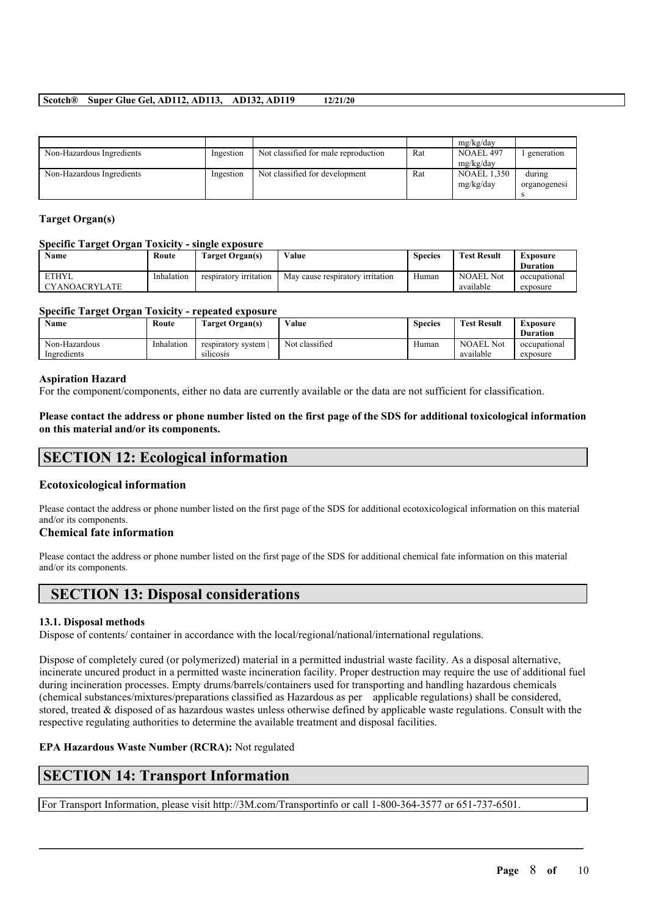|                           |           |                                      |     | mg/kg/day          |              |
|---------------------------|-----------|--------------------------------------|-----|--------------------|--------------|
| Non-Hazardous Ingredients | Ingestion | Not classified for male reproduction | Rat | NOAEL 497          | generation   |
|                           |           |                                      |     | mg/kg/day          |              |
| Non-Hazardous Ingredients | Ingestion | Not classified for development       | Rat | <b>NOAEL 1,350</b> | during       |
|                           |           |                                      |     | mg/kg/day          | organogenesi |
|                           |           |                                      |     |                    |              |

## **Target Organ(s)**

## **Specific Target Organ Toxicity - single exposure**

| <b>Name</b>                          | Route      | Target Organ(s)        | Value                            | Species | <b>Test Result</b>            | Exposure<br><b>Duration</b> |
|--------------------------------------|------------|------------------------|----------------------------------|---------|-------------------------------|-----------------------------|
| <b>ETHYL</b><br><b>CYANOACRYLATE</b> | Inhalation | respiratory irritation | May cause respiratory irritation | Human   | <b>NOAEL Not</b><br>available | occupational<br>exposure    |

#### **Specific Target Organ Toxicity - repeated exposure**

|                                            |                                                    |                |       |                               | <b>Duration</b>          |
|--------------------------------------------|----------------------------------------------------|----------------|-------|-------------------------------|--------------------------|
| Inhalation<br>Non-Hazardous<br>Ingredients | respiratory system<br>$\cdots$<br><b>SILICOSIS</b> | Not classified | Human | <b>NOAEL Not</b><br>available | occupational<br>exposure |

#### **Aspiration Hazard**

For the component/components, either no data are currently available or the data are not sufficient for classification.

Please contact the address or phone number listed on the first page of the SDS for additional toxicological information **on this material and/or its components.**

# **SECTION 12: Ecological information**

## **Ecotoxicological information**

Please contact the address or phone number listed on the first page of the SDS for additional ecotoxicological information on this material and/or its components.

## **Chemical fate information**

Please contact the address or phone number listed on the first page of the SDS for additional chemical fate information on this material and/or its components.

# **SECTION 13: Disposal considerations**

## **13.1. Disposal methods**

Dispose of contents/ container in accordance with the local/regional/national/international regulations.

Dispose of completely cured (or polymerized) material in a permitted industrial waste facility. As a disposal alternative, incinerate uncured product in a permitted waste incineration facility. Proper destruction may require the use of additional fuel during incineration processes. Empty drums/barrels/containers used for transporting and handling hazardous chemicals (chemical substances/mixtures/preparations classified as Hazardous as per applicable regulations) shall be considered, stored, treated & disposed of as hazardous wastes unless otherwise defined by applicable waste regulations. Consult with the respective regulating authorities to determine the available treatment and disposal facilities.

 $\mathcal{L}_\mathcal{L} = \mathcal{L}_\mathcal{L} = \mathcal{L}_\mathcal{L} = \mathcal{L}_\mathcal{L} = \mathcal{L}_\mathcal{L} = \mathcal{L}_\mathcal{L} = \mathcal{L}_\mathcal{L} = \mathcal{L}_\mathcal{L} = \mathcal{L}_\mathcal{L} = \mathcal{L}_\mathcal{L} = \mathcal{L}_\mathcal{L} = \mathcal{L}_\mathcal{L} = \mathcal{L}_\mathcal{L} = \mathcal{L}_\mathcal{L} = \mathcal{L}_\mathcal{L} = \mathcal{L}_\mathcal{L} = \mathcal{L}_\mathcal{L}$ 

## **EPA Hazardous Waste Number (RCRA):** Not regulated

# **SECTION 14: Transport Information**

For Transport Information, please visit http://3M.com/Transportinfo or call 1-800-364-3577 or 651-737-6501.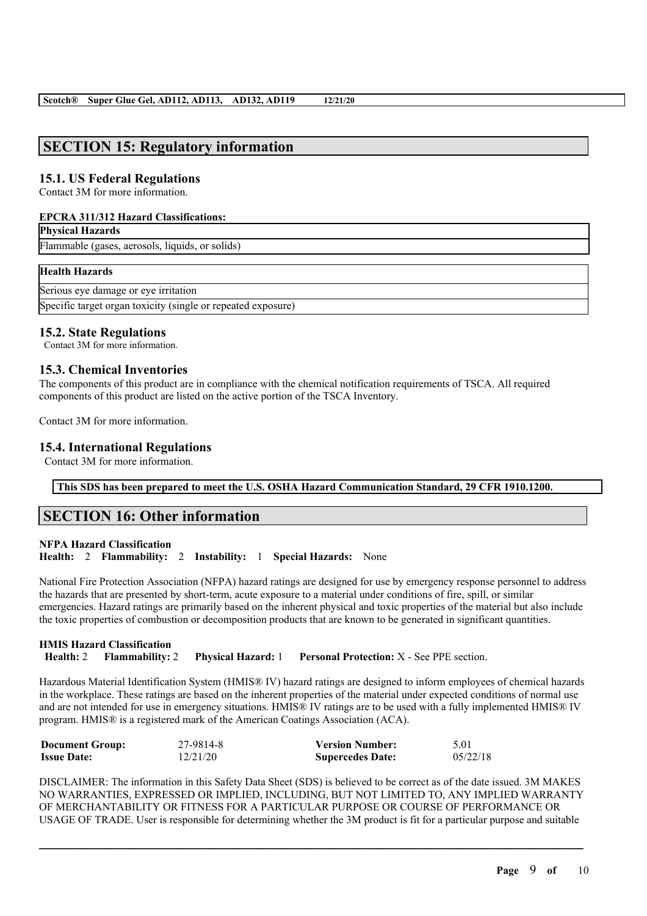# **SECTION 15: Regulatory information**

## **15.1. US Federal Regulations**

Contact 3M for more information.

#### **EPCRA 311/312 Hazard Classifications:**

#### **Physical Hazards**

Flammable (gases, aerosols, liquids, or solids)

#### **Health Hazards**

Serious eye damage or eye irritation

Specific target organ toxicity (single or repeated exposure)

## **15.2. State Regulations**

Contact 3M for more information.

## **15.3. Chemical Inventories**

The components of this product are in compliance with the chemical notification requirements of TSCA. All required components of this product are listed on the active portion of the TSCA Inventory.

Contact 3M for more information.

## **15.4. International Regulations**

Contact 3M for more information.

**This SDS has been prepared to meet the U.S. OSHA Hazard Communication Standard, 29 CFR 1910.1200.**

# **SECTION 16: Other information**

**NFPA Hazard Classification Health:** 2 **Flammability:** 2 **Instability:** 1 **Special Hazards:** None

National Fire Protection Association (NFPA) hazard ratings are designed for use by emergency response personnel to address the hazards that are presented by short-term, acute exposure to a material under conditions of fire, spill, or similar emergencies. Hazard ratings are primarily based on the inherent physical and toxic properties of the material but also include the toxic properties of combustion or decomposition products that are known to be generated in significant quantities.

**HMIS Hazard Classification Health:** 2 **Flammability:** 2 **Physical Hazard:** 1 **Personal Protection:** X - See PPE section.

Hazardous Material Identification System (HMIS® IV) hazard ratings are designed to inform employees of chemical hazards in the workplace. These ratings are based on the inherent properties of the material under expected conditions of normal use and are not intended for use in emergency situations. HMIS® IV ratings are to be used with a fully implemented HMIS® IV program. HMIS® is a registered mark of the American Coatings Association (ACA).

| <b>Document Group:</b> | 27-9814-8 | <b>Version Number:</b>  | 5.01     |
|------------------------|-----------|-------------------------|----------|
| <b>Issue Date:</b>     | 12/21/20  | <b>Supercedes Date:</b> | 05/22/18 |

DISCLAIMER: The information in this Safety Data Sheet (SDS) is believed to be correct as of the date issued. 3M MAKES NO WARRANTIES, EXPRESSED OR IMPLIED, INCLUDING, BUT NOT LIMITED TO, ANY IMPLIED WARRANTY OF MERCHANTABILITY OR FITNESS FOR A PARTICULAR PURPOSE OR COURSE OF PERFORMANCE OR USAGE OF TRADE. User is responsible for determining whether the 3M product is fit for a particular purpose and suitable